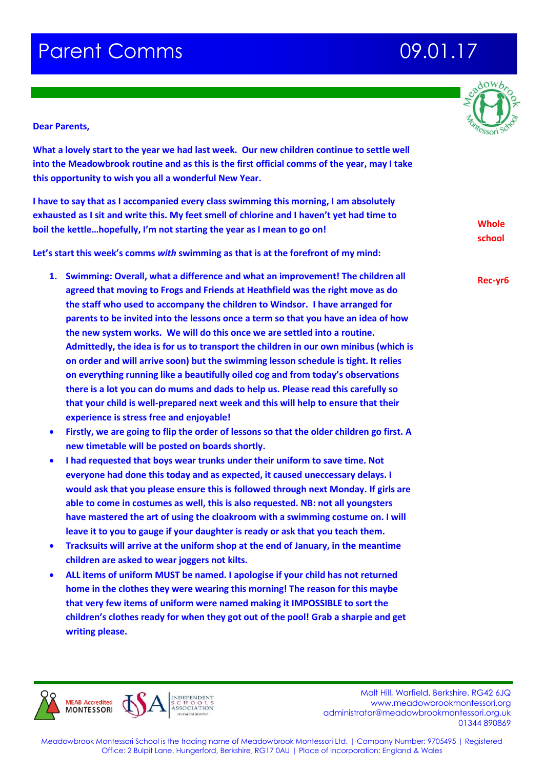# **Parent Comms 68 and 19901.17**



### **Dear Parents,**

**What a lovely start to the year we had last week. Our new children continue to settle well into the Meadowbrook routine and as this is the first official comms of the year, may I take this opportunity to wish you all a wonderful New Year.**

**I have to say that as I accompanied every class swimming this morning, I am absolutely exhausted as I sit and write this. My feet smell of chlorine and I haven't yet had time to boil the kettle…hopefully, I'm not starting the year as I mean to go on!**

**Let's start this week's comms** *with* **swimming as that is at the forefront of my mind:**

- **1. Swimming: Overall, what a difference and what an improvement! The children all agreed that moving to Frogs and Friends at Heathfield was the right move as do the staff who used to accompany the children to Windsor. I have arranged for parents to be invited into the lessons once a term so that you have an idea of how the new system works. We will do this once we are settled into a routine. Admittedly, the idea is for us to transport the children in our own minibus (which is on order and will arrive soon) but the swimming lesson schedule is tight. It relies on everything running like a beautifully oiled cog and from today's observations there is a lot you can do mums and dads to help us. Please read this carefully so that your child is well-prepared next week and this will help to ensure that their experience is stress free and enjoyable!**
- **Firstly, we are going to flip the order of lessons so that the older children go first. A new timetable will be posted on boards shortly.**
- **I had requested that boys wear trunks under their uniform to save time. Not everyone had done this today and as expected, it caused uneccessary delays. I would ask that you please ensure this is followed through next Monday. If girls are able to come in costumes as well, this is also requested. NB: not all youngsters have mastered the art of using the cloakroom with a swimming costume on. I will leave it to you to gauge if your daughter is ready or ask that you teach them.**
- **Tracksuits will arrive at the uniform shop at the end of January, in the meantime children are asked to wear joggers not kilts.**
- **ALL items of uniform MUST be named. I apologise if your child has not returned home in the clothes they were wearing this morning! The reason for this maybe that very few items of uniform were named making it IMPOSSIBLE to sort the children's clothes ready for when they got out of the pool! Grab a sharpie and get writing please.**



 Malt Hill, Warfield, Berkshire, RG42 6JQ www.meadowbrookmontessori.org [administrator@meadowbrookmontessori.org.uk](mailto:administrator@meadowbrookmontessori.org.uk) 01344 890869

Meadowbrook Montessori School is the trading name of Meadowbrook Montessori Ltd. | Company Number: 9705495 | Registered Office: 2 Bulpit Lane, Hungerford, Berkshire, RG17 0AU | Place of Incorporation: England & Wales

**Whole school**

**Rec-yr6**